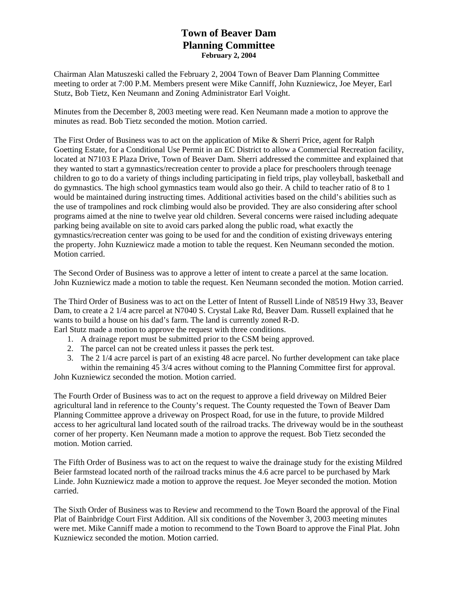# **Town of Beaver Dam Planning Committee February 2, 2004**

Chairman Alan Matuszeski called the February 2, 2004 Town of Beaver Dam Planning Committee meeting to order at 7:00 P.M. Members present were Mike Canniff, John Kuzniewicz, Joe Meyer, Earl Stutz, Bob Tietz, Ken Neumann and Zoning Administrator Earl Voight.

Minutes from the December 8, 2003 meeting were read. Ken Neumann made a motion to approve the minutes as read. Bob Tietz seconded the motion. Motion carried.

The First Order of Business was to act on the application of Mike & Sherri Price, agent for Ralph Goetting Estate, for a Conditional Use Permit in an EC District to allow a Commercial Recreation facility, located at N7103 E Plaza Drive, Town of Beaver Dam. Sherri addressed the committee and explained that they wanted to start a gymnastics/recreation center to provide a place for preschoolers through teenage children to go to do a variety of things including participating in field trips, play volleyball, basketball and do gymnastics. The high school gymnastics team would also go their. A child to teacher ratio of 8 to 1 would be maintained during instructing times. Additional activities based on the child's abilities such as the use of trampolines and rock climbing would also be provided. They are also considering after school programs aimed at the nine to twelve year old children. Several concerns were raised including adequate parking being available on site to avoid cars parked along the public road, what exactly the gymnastics/recreation center was going to be used for and the condition of existing driveways entering the property. John Kuzniewicz made a motion to table the request. Ken Neumann seconded the motion. Motion carried.

The Second Order of Business was to approve a letter of intent to create a parcel at the same location. John Kuzniewicz made a motion to table the request. Ken Neumann seconded the motion. Motion carried.

The Third Order of Business was to act on the Letter of Intent of Russell Linde of N8519 Hwy 33, Beaver Dam, to create a 2 1/4 acre parcel at N7040 S. Crystal Lake Rd, Beaver Dam. Russell explained that he wants to build a house on his dad's farm. The land is currently zoned R-D. Earl Stutz made a motion to approve the request with three conditions.

- 1. A drainage report must be submitted prior to the CSM being approved.
- 2. The parcel can not be created unless it passes the perk test.
- 3. The 2 1/4 acre parcel is part of an existing 48 acre parcel. No further development can take place within the remaining 45 3/4 acres without coming to the Planning Committee first for approval.

John Kuzniewicz seconded the motion. Motion carried.

The Fourth Order of Business was to act on the request to approve a field driveway on Mildred Beier agricultural land in reference to the County's request. The County requested the Town of Beaver Dam Planning Committee approve a driveway on Prospect Road, for use in the future, to provide Mildred access to her agricultural land located south of the railroad tracks. The driveway would be in the southeast corner of her property. Ken Neumann made a motion to approve the request. Bob Tietz seconded the motion. Motion carried.

The Fifth Order of Business was to act on the request to waive the drainage study for the existing Mildred Beier farmstead located north of the railroad tracks minus the 4.6 acre parcel to be purchased by Mark Linde. John Kuzniewicz made a motion to approve the request. Joe Meyer seconded the motion. Motion carried.

The Sixth Order of Business was to Review and recommend to the Town Board the approval of the Final Plat of Bainbridge Court First Addition. All six conditions of the November 3, 2003 meeting minutes were met. Mike Canniff made a motion to recommend to the Town Board to approve the Final Plat. John Kuzniewicz seconded the motion. Motion carried.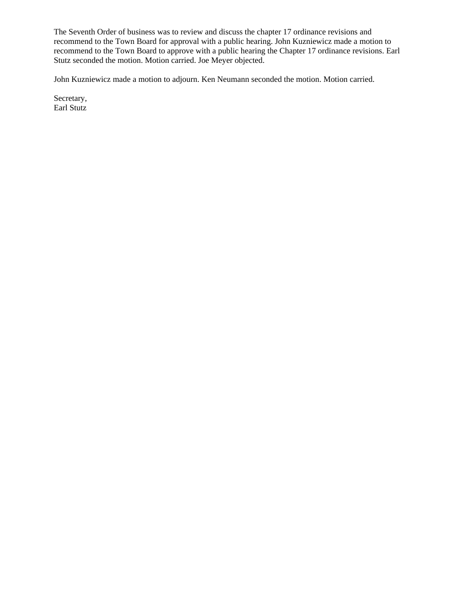The Seventh Order of business was to review and discuss the chapter 17 ordinance revisions and recommend to the Town Board for approval with a public hearing. John Kuzniewicz made a motion to recommend to the Town Board to approve with a public hearing the Chapter 17 ordinance revisions. Earl Stutz seconded the motion. Motion carried. Joe Meyer objected.

John Kuzniewicz made a motion to adjourn. Ken Neumann seconded the motion. Motion carried.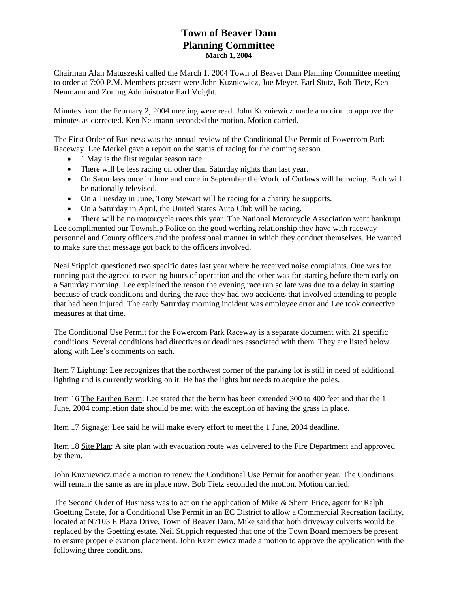# **Town of Beaver Dam Planning Committee March 1, 2004**

Chairman Alan Matuszeski called the March 1, 2004 Town of Beaver Dam Planning Committee meeting to order at 7:00 P.M. Members present were John Kuzniewicz, Joe Meyer, Earl Stutz, Bob Tietz, Ken Neumann and Zoning Administrator Earl Voight.

Minutes from the February 2, 2004 meeting were read. John Kuzniewicz made a motion to approve the minutes as corrected. Ken Neumann seconded the motion. Motion carried.

The First Order of Business was the annual review of the Conditional Use Permit of Powercom Park Raceway. Lee Merkel gave a report on the status of racing for the coming season.

- 1 May is the first regular season race.
- There will be less racing on other than Saturday nights than last year.
- On Saturdays once in June and once in September the World of Outlaws will be racing. Both will be nationally televised.
- On a Tuesday in June, Tony Stewart will be racing for a charity he supports.
- On a Saturday in April, the United States Auto Club will be racing.
- There will be no motorcycle races this year. The National Motorcycle Association went bankrupt. Lee complimented our Township Police on the good working relationship they have with raceway

personnel and County officers and the professional manner in which they conduct themselves. He wanted to make sure that message got back to the officers involved.

Neal Stippich questioned two specific dates last year where he received noise complaints. One was for running past the agreed to evening hours of operation and the other was for starting before them early on a Saturday morning. Lee explained the reason the evening race ran so late was due to a delay in starting because of track conditions and during the race they had two accidents that involved attending to people that had been injured. The early Saturday morning incident was employee error and Lee took corrective measures at that time.

The Conditional Use Permit for the Powercom Park Raceway is a separate document with 21 specific conditions. Several conditions had directives or deadlines associated with them. They are listed below along with Lee's comments on each.

Item 7 Lighting: Lee recognizes that the northwest corner of the parking lot is still in need of additional lighting and is currently working on it. He has the lights but needs to acquire the poles.

Item 16 The Earthen Berm: Lee stated that the berm has been extended 300 to 400 feet and that the 1 June, 2004 completion date should be met with the exception of having the grass in place.

Item 17 Signage: Lee said he will make every effort to meet the 1 June, 2004 deadline.

Item 18 Site Plan: A site plan with evacuation route was delivered to the Fire Department and approved by them.

John Kuzniewicz made a motion to renew the Conditional Use Permit for another year. The Conditions will remain the same as are in place now. Bob Tietz seconded the motion. Motion carried.

The Second Order of Business was to act on the application of Mike & Sherri Price, agent for Ralph Goetting Estate, for a Conditional Use Permit in an EC District to allow a Commercial Recreation facility, located at N7103 E Plaza Drive, Town of Beaver Dam. Mike said that both driveway culverts would be replaced by the Goetting estate. Neil Stippich requested that one of the Town Board members be present to ensure proper elevation placement. John Kuzniewicz made a motion to approve the application with the following three conditions.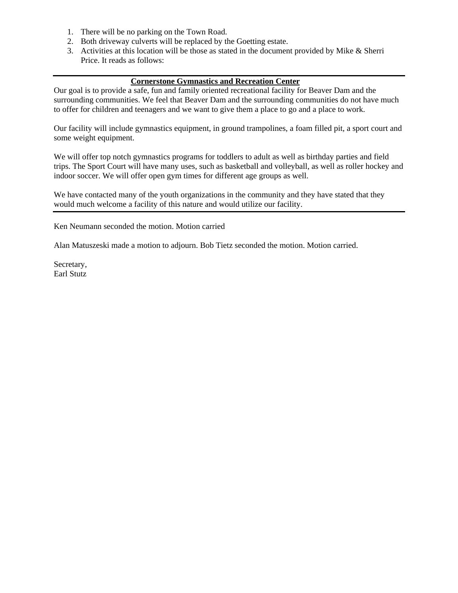- 1. There will be no parking on the Town Road.
- 2. Both driveway culverts will be replaced by the Goetting estate.
- 3. Activities at this location will be those as stated in the document provided by Mike & Sherri Price. It reads as follows:

#### **Cornerstone Gymnastics and Recreation Center**

Our goal is to provide a safe, fun and family oriented recreational facility for Beaver Dam and the surrounding communities. We feel that Beaver Dam and the surrounding communities do not have much to offer for children and teenagers and we want to give them a place to go and a place to work.

Our facility will include gymnastics equipment, in ground trampolines, a foam filled pit, a sport court and some weight equipment.

We will offer top notch gymnastics programs for toddlers to adult as well as birthday parties and field trips. The Sport Court will have many uses, such as basketball and volleyball, as well as roller hockey and indoor soccer. We will offer open gym times for different age groups as well.

We have contacted many of the youth organizations in the community and they have stated that they would much welcome a facility of this nature and would utilize our facility.

Ken Neumann seconded the motion. Motion carried

Alan Matuszeski made a motion to adjourn. Bob Tietz seconded the motion. Motion carried.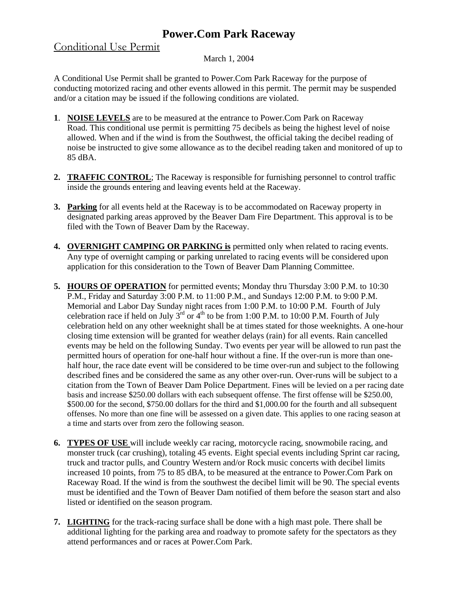# **Power.Com Park Raceway**

# Conditional Use Permit

March 1, 2004

A Conditional Use Permit shall be granted to Power.Com Park Raceway for the purpose of conducting motorized racing and other events allowed in this permit. The permit may be suspended and/or a citation may be issued if the following conditions are violated.

- **1**. **NOISE LEVELS** are to be measured at the entrance to Power.Com Park on Raceway Road. This conditional use permit is permitting 75 decibels as being the highest level of noise allowed. When and if the wind is from the Southwest, the official taking the decibel reading of noise be instructed to give some allowance as to the decibel reading taken and monitored of up to 85 dBA.
- **2. TRAFFIC CONTROL**; The Raceway is responsible for furnishing personnel to control traffic inside the grounds entering and leaving events held at the Raceway.
- **3. Parking** for all events held at the Raceway is to be accommodated on Raceway property in designated parking areas approved by the Beaver Dam Fire Department. This approval is to be filed with the Town of Beaver Dam by the Raceway.
- **4. OVERNIGHT CAMPING OR PARKING is** permitted only when related to racing events. Any type of overnight camping or parking unrelated to racing events will be considered upon application for this consideration to the Town of Beaver Dam Planning Committee.
- **5. HOURS OF OPERATION** for permitted events; Monday thru Thursday 3:00 P.M. to 10:30 P.M., Friday and Saturday 3:00 P.M. to 11:00 P.M., and Sundays 12:00 P.M. to 9:00 P.M. Memorial and Labor Day Sunday night races from 1:00 P.M. to 10:00 P.M. Fourth of July celebration race if held on July  $3^{rd}$  or  $4^{th}$  to be from 1:00 P.M. to 10:00 P.M. Fourth of July celebration held on any other weeknight shall be at times stated for those weeknights. A one-hour closing time extension will be granted for weather delays (rain) for all events. Rain cancelled events may be held on the following Sunday. Two events per year will be allowed to run past the permitted hours of operation for one-half hour without a fine. If the over-run is more than onehalf hour, the race date event will be considered to be time over-run and subject to the following described fines and be considered the same as any other over-run. Over-runs will be subject to a citation from the Town of Beaver Dam Police Department. Fines will be levied on a per racing date basis and increase \$250.00 dollars with each subsequent offense. The first offense will be \$250.00, \$500.00 for the second, \$750.00 dollars for the third and \$1,000.00 for the fourth and all subsequent offenses. No more than one fine will be assessed on a given date. This applies to one racing season at a time and starts over from zero the following season.
- **6. TYPES OF USE** will include weekly car racing, motorcycle racing, snowmobile racing, and monster truck (car crushing), totaling 45 events. Eight special events including Sprint car racing, truck and tractor pulls, and Country Western and/or Rock music concerts with decibel limits increased 10 points, from 75 to 85 dBA, to be measured at the entrance to Power.Com Park on Raceway Road. If the wind is from the southwest the decibel limit will be 90. The special events must be identified and the Town of Beaver Dam notified of them before the season start and also listed or identified on the season program.
- **7. LIGHTING** for the track-racing surface shall be done with a high mast pole. There shall be additional lighting for the parking area and roadway to promote safety for the spectators as they attend performances and or races at Power.Com Park.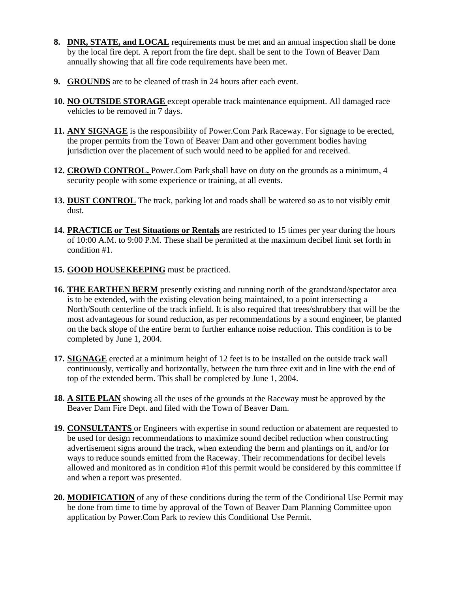- **8. DNR, STATE, and LOCAL** requirements must be met and an annual inspection shall be done by the local fire dept. A report from the fire dept. shall be sent to the Town of Beaver Dam annually showing that all fire code requirements have been met.
- **9. GROUNDS** are to be cleaned of trash in 24 hours after each event.
- **10. NO OUTSIDE STORAGE** except operable track maintenance equipment. All damaged race vehicles to be removed in 7 days.
- **11. ANY SIGNAGE** is the responsibility of Power.Com Park Raceway. For signage to be erected, the proper permits from the Town of Beaver Dam and other government bodies having jurisdiction over the placement of such would need to be applied for and received.
- **12. CROWD CONTROL.** Power.Com Park shall have on duty on the grounds as a minimum, 4 security people with some experience or training, at all events.
- **13. DUST CONTROL** The track, parking lot and roads shall be watered so as to not visibly emit dust.
- **14. PRACTICE or Test Situations or Rentals** are restricted to 15 times per year during the hours of 10:00 A.M. to 9:00 P.M. These shall be permitted at the maximum decibel limit set forth in condition #1.
- **15. GOOD HOUSEKEEPING** must be practiced.
- **16. THE EARTHEN BERM** presently existing and running north of the grandstand/spectator area is to be extended, with the existing elevation being maintained, to a point intersecting a North/South centerline of the track infield. It is also required that trees/shrubbery that will be the most advantageous for sound reduction, as per recommendations by a sound engineer, be planted on the back slope of the entire berm to further enhance noise reduction. This condition is to be completed by June 1, 2004.
- **17. SIGNAGE** erected at a minimum height of 12 feet is to be installed on the outside track wall continuously, vertically and horizontally, between the turn three exit and in line with the end of top of the extended berm. This shall be completed by June 1, 2004.
- **18. A SITE PLAN** showing all the uses of the grounds at the Raceway must be approved by the Beaver Dam Fire Dept. and filed with the Town of Beaver Dam.
- **19. CONSULTANTS** or Engineers with expertise in sound reduction or abatement are requested to be used for design recommendations to maximize sound decibel reduction when constructing advertisement signs around the track, when extending the berm and plantings on it, and/or for ways to reduce sounds emitted from the Raceway. Their recommendations for decibel levels allowed and monitored as in condition #1of this permit would be considered by this committee if and when a report was presented.
- **20. MODIFICATION** of any of these conditions during the term of the Conditional Use Permit may be done from time to time by approval of the Town of Beaver Dam Planning Committee upon application by Power.Com Park to review this Conditional Use Permit.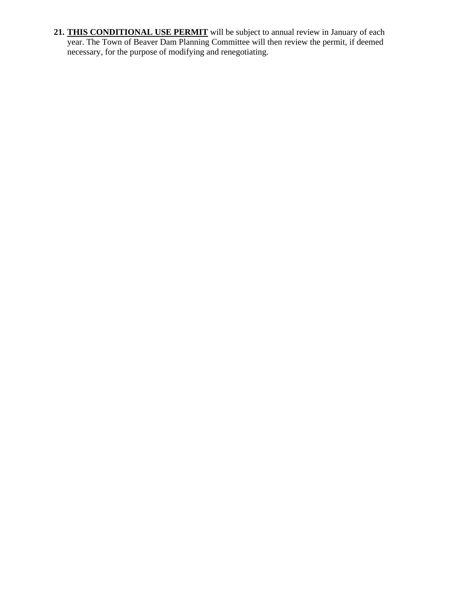**21. THIS CONDITIONAL USE PERMIT** will be subject to annual review in January of each year. The Town of Beaver Dam Planning Committee will then review the permit, if deemed necessary, for the purpose of modifying and renegotiating.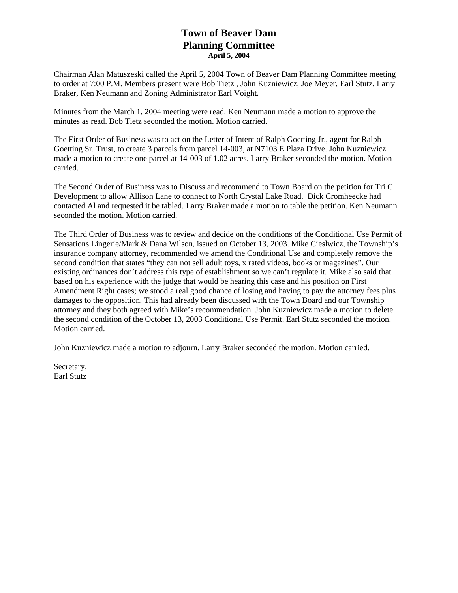# **Town of Beaver Dam Planning Committee April 5, 2004**

Chairman Alan Matuszeski called the April 5, 2004 Town of Beaver Dam Planning Committee meeting to order at 7:00 P.M. Members present were Bob Tietz , John Kuzniewicz, Joe Meyer, Earl Stutz, Larry Braker, Ken Neumann and Zoning Administrator Earl Voight.

Minutes from the March 1, 2004 meeting were read. Ken Neumann made a motion to approve the minutes as read. Bob Tietz seconded the motion. Motion carried.

The First Order of Business was to act on the Letter of Intent of Ralph Goetting Jr., agent for Ralph Goetting Sr. Trust, to create 3 parcels from parcel 14-003, at N7103 E Plaza Drive. John Kuzniewicz made a motion to create one parcel at 14-003 of 1.02 acres. Larry Braker seconded the motion. Motion carried.

The Second Order of Business was to Discuss and recommend to Town Board on the petition for Tri C Development to allow Allison Lane to connect to North Crystal Lake Road. Dick Cromheecke had contacted Al and requested it be tabled. Larry Braker made a motion to table the petition. Ken Neumann seconded the motion. Motion carried.

The Third Order of Business was to review and decide on the conditions of the Conditional Use Permit of Sensations Lingerie/Mark & Dana Wilson, issued on October 13, 2003. Mike Cieslwicz, the Township's insurance company attorney, recommended we amend the Conditional Use and completely remove the second condition that states "they can not sell adult toys, x rated videos, books or magazines". Our existing ordinances don't address this type of establishment so we can't regulate it. Mike also said that based on his experience with the judge that would be hearing this case and his position on First Amendment Right cases; we stood a real good chance of losing and having to pay the attorney fees plus damages to the opposition. This had already been discussed with the Town Board and our Township attorney and they both agreed with Mike's recommendation. John Kuzniewicz made a motion to delete the second condition of the October 13, 2003 Conditional Use Permit. Earl Stutz seconded the motion. Motion carried.

John Kuzniewicz made a motion to adjourn. Larry Braker seconded the motion. Motion carried.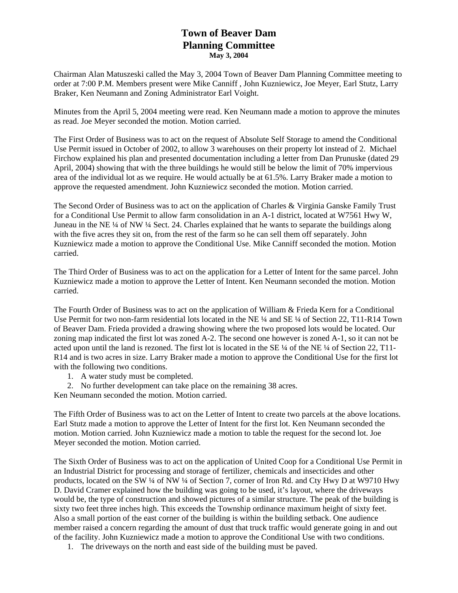# **Town of Beaver Dam Planning Committee May 3, 2004**

Chairman Alan Matuszeski called the May 3, 2004 Town of Beaver Dam Planning Committee meeting to order at 7:00 P.M. Members present were Mike Canniff , John Kuzniewicz, Joe Meyer, Earl Stutz, Larry Braker, Ken Neumann and Zoning Administrator Earl Voight.

Minutes from the April 5, 2004 meeting were read. Ken Neumann made a motion to approve the minutes as read. Joe Meyer seconded the motion. Motion carried.

The First Order of Business was to act on the request of Absolute Self Storage to amend the Conditional Use Permit issued in October of 2002, to allow 3 warehouses on their property lot instead of 2. Michael Firchow explained his plan and presented documentation including a letter from Dan Prunuske (dated 29 April, 2004) showing that with the three buildings he would still be below the limit of 70% impervious area of the individual lot as we require. He would actually be at 61.5%. Larry Braker made a motion to approve the requested amendment. John Kuzniewicz seconded the motion. Motion carried.

The Second Order of Business was to act on the application of Charles & Virginia Ganske Family Trust for a Conditional Use Permit to allow farm consolidation in an A-1 district, located at W7561 Hwy W, Juneau in the NE ¼ of NW ¼ Sect. 24. Charles explained that he wants to separate the buildings along with the five acres they sit on, from the rest of the farm so he can sell them off separately. John Kuzniewicz made a motion to approve the Conditional Use. Mike Canniff seconded the motion. Motion carried.

The Third Order of Business was to act on the application for a Letter of Intent for the same parcel. John Kuzniewicz made a motion to approve the Letter of Intent. Ken Neumann seconded the motion. Motion carried.

The Fourth Order of Business was to act on the application of William & Frieda Kern for a Conditional Use Permit for two non-farm residential lots located in the NE ¼ and SE ¼ of Section 22, T11-R14 Town of Beaver Dam. Frieda provided a drawing showing where the two proposed lots would be located. Our zoning map indicated the first lot was zoned A-2. The second one however is zoned A-1, so it can not be acted upon until the land is rezoned. The first lot is located in the SE ¼ of the NE ¼ of Section 22, T11- R14 and is two acres in size. Larry Braker made a motion to approve the Conditional Use for the first lot with the following two conditions.

1. A water study must be completed.

2. No further development can take place on the remaining 38 acres.

Ken Neumann seconded the motion. Motion carried.

The Fifth Order of Business was to act on the Letter of Intent to create two parcels at the above locations. Earl Stutz made a motion to approve the Letter of Intent for the first lot. Ken Neumann seconded the motion. Motion carried. John Kuzniewicz made a motion to table the request for the second lot. Joe Meyer seconded the motion. Motion carried.

The Sixth Order of Business was to act on the application of United Coop for a Conditional Use Permit in an Industrial District for processing and storage of fertilizer, chemicals and insecticides and other products, located on the SW ¼ of NW ¼ of Section 7, corner of Iron Rd. and Cty Hwy D at W9710 Hwy D. David Cramer explained how the building was going to be used, it's layout, where the driveways would be, the type of construction and showed pictures of a similar structure. The peak of the building is sixty two feet three inches high. This exceeds the Township ordinance maximum height of sixty feet. Also a small portion of the east corner of the building is within the building setback. One audience member raised a concern regarding the amount of dust that truck traffic would generate going in and out of the facility. John Kuzniewicz made a motion to approve the Conditional Use with two conditions.

1. The driveways on the north and east side of the building must be paved.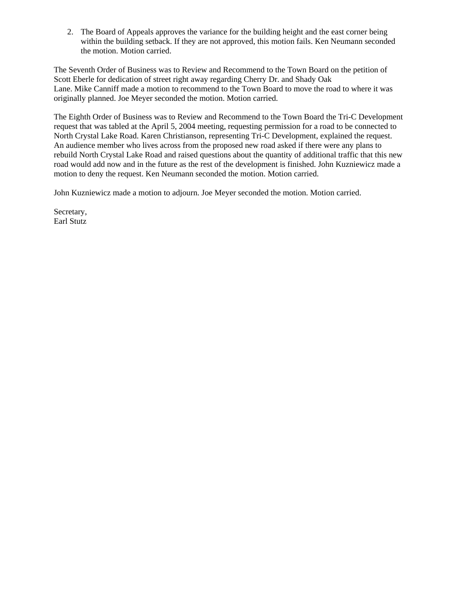2. The Board of Appeals approves the variance for the building height and the east corner being within the building setback. If they are not approved, this motion fails. Ken Neumann seconded the motion. Motion carried.

The Seventh Order of Business was to Review and Recommend to the Town Board on the petition of Scott Eberle for dedication of street right away regarding Cherry Dr. and Shady Oak Lane. Mike Canniff made a motion to recommend to the Town Board to move the road to where it was originally planned. Joe Meyer seconded the motion. Motion carried.

The Eighth Order of Business was to Review and Recommend to the Town Board the Tri-C Development request that was tabled at the April 5, 2004 meeting, requesting permission for a road to be connected to North Crystal Lake Road. Karen Christianson, representing Tri-C Development, explained the request. An audience member who lives across from the proposed new road asked if there were any plans to rebuild North Crystal Lake Road and raised questions about the quantity of additional traffic that this new road would add now and in the future as the rest of the development is finished. John Kuzniewicz made a motion to deny the request. Ken Neumann seconded the motion. Motion carried.

John Kuzniewicz made a motion to adjourn. Joe Meyer seconded the motion. Motion carried.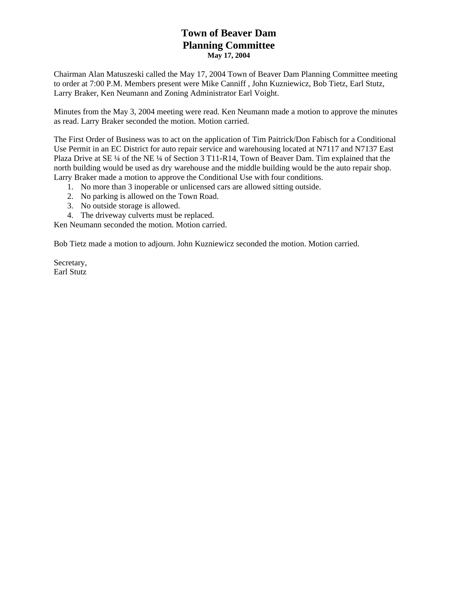# **Town of Beaver Dam Planning Committee May 17, 2004**

Chairman Alan Matuszeski called the May 17, 2004 Town of Beaver Dam Planning Committee meeting to order at 7:00 P.M. Members present were Mike Canniff , John Kuzniewicz, Bob Tietz, Earl Stutz, Larry Braker, Ken Neumann and Zoning Administrator Earl Voight.

Minutes from the May 3, 2004 meeting were read. Ken Neumann made a motion to approve the minutes as read. Larry Braker seconded the motion. Motion carried.

The First Order of Business was to act on the application of Tim Paitrick/Don Fabisch for a Conditional Use Permit in an EC District for auto repair service and warehousing located at N7117 and N7137 East Plaza Drive at SE ¼ of the NE ¼ of Section 3 T11-R14, Town of Beaver Dam. Tim explained that the north building would be used as dry warehouse and the middle building would be the auto repair shop. Larry Braker made a motion to approve the Conditional Use with four conditions.

- 1. No more than 3 inoperable or unlicensed cars are allowed sitting outside.
- 2. No parking is allowed on the Town Road.
- 3. No outside storage is allowed.
- 4. The driveway culverts must be replaced.

Ken Neumann seconded the motion. Motion carried.

Bob Tietz made a motion to adjourn. John Kuzniewicz seconded the motion. Motion carried.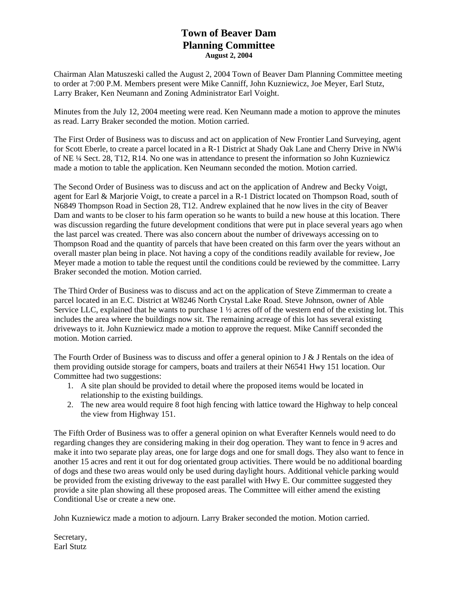# **Town of Beaver Dam Planning Committee August 2, 2004**

Chairman Alan Matuszeski called the August 2, 2004 Town of Beaver Dam Planning Committee meeting to order at 7:00 P.M. Members present were Mike Canniff, John Kuzniewicz, Joe Meyer, Earl Stutz, Larry Braker, Ken Neumann and Zoning Administrator Earl Voight.

Minutes from the July 12, 2004 meeting were read. Ken Neumann made a motion to approve the minutes as read. Larry Braker seconded the motion. Motion carried.

The First Order of Business was to discuss and act on application of New Frontier Land Surveying, agent for Scott Eberle, to create a parcel located in a R-1 District at Shady Oak Lane and Cherry Drive in NW¼ of NE ¼ Sect. 28, T12, R14. No one was in attendance to present the information so John Kuzniewicz made a motion to table the application. Ken Neumann seconded the motion. Motion carried.

The Second Order of Business was to discuss and act on the application of Andrew and Becky Voigt, agent for Earl & Marjorie Voigt, to create a parcel in a R-1 District located on Thompson Road, south of N6849 Thompson Road in Section 28, T12. Andrew explained that he now lives in the city of Beaver Dam and wants to be closer to his farm operation so he wants to build a new house at this location. There was discussion regarding the future development conditions that were put in place several years ago when the last parcel was created. There was also concern about the number of driveways accessing on to Thompson Road and the quantity of parcels that have been created on this farm over the years without an overall master plan being in place. Not having a copy of the conditions readily available for review, Joe Meyer made a motion to table the request until the conditions could be reviewed by the committee. Larry Braker seconded the motion. Motion carried.

The Third Order of Business was to discuss and act on the application of Steve Zimmerman to create a parcel located in an E.C. District at W8246 North Crystal Lake Road. Steve Johnson, owner of Able Service LLC, explained that he wants to purchase  $1 \frac{1}{2}$  acres off of the western end of the existing lot. This includes the area where the buildings now sit. The remaining acreage of this lot has several existing driveways to it. John Kuzniewicz made a motion to approve the request. Mike Canniff seconded the motion. Motion carried.

The Fourth Order of Business was to discuss and offer a general opinion to J & J Rentals on the idea of them providing outside storage for campers, boats and trailers at their N6541 Hwy 151 location. Our Committee had two suggestions:

- 1. A site plan should be provided to detail where the proposed items would be located in relationship to the existing buildings.
- 2. The new area would require 8 foot high fencing with lattice toward the Highway to help conceal the view from Highway 151.

The Fifth Order of Business was to offer a general opinion on what Everafter Kennels would need to do regarding changes they are considering making in their dog operation. They want to fence in 9 acres and make it into two separate play areas, one for large dogs and one for small dogs. They also want to fence in another 15 acres and rent it out for dog orientated group activities. There would be no additional boarding of dogs and these two areas would only be used during daylight hours. Additional vehicle parking would be provided from the existing driveway to the east parallel with Hwy E. Our committee suggested they provide a site plan showing all these proposed areas. The Committee will either amend the existing Conditional Use or create a new one.

John Kuzniewicz made a motion to adjourn. Larry Braker seconded the motion. Motion carried.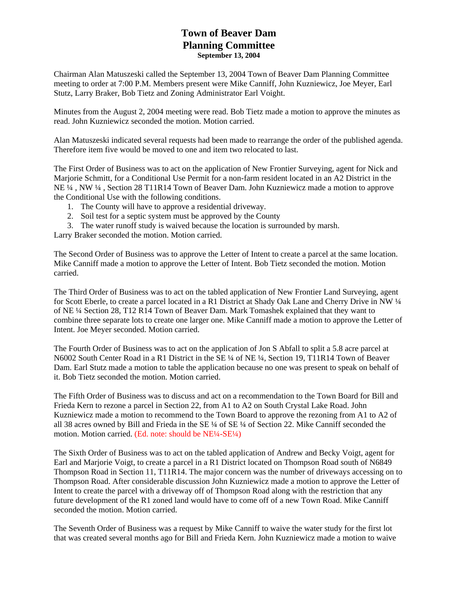#### **Town of Beaver Dam Planning Committee September 13, 2004**

Chairman Alan Matuszeski called the September 13, 2004 Town of Beaver Dam Planning Committee meeting to order at 7:00 P.M. Members present were Mike Canniff, John Kuzniewicz, Joe Meyer, Earl Stutz, Larry Braker, Bob Tietz and Zoning Administrator Earl Voight.

Minutes from the August 2, 2004 meeting were read. Bob Tietz made a motion to approve the minutes as read. John Kuzniewicz seconded the motion. Motion carried.

Alan Matuszeski indicated several requests had been made to rearrange the order of the published agenda. Therefore item five would be moved to one and item two relocated to last.

The First Order of Business was to act on the application of New Frontier Surveying, agent for Nick and Marjorie Schmitt, for a Conditional Use Permit for a non-farm resident located in an A2 District in the NE ¼ , NW ¼ , Section 28 T11R14 Town of Beaver Dam. John Kuzniewicz made a motion to approve the Conditional Use with the following conditions.

- 1. The County will have to approve a residential driveway.
- 2. Soil test for a septic system must be approved by the County
- 3. The water runoff study is waived because the location is surrounded by marsh.

Larry Braker seconded the motion. Motion carried.

The Second Order of Business was to approve the Letter of Intent to create a parcel at the same location. Mike Canniff made a motion to approve the Letter of Intent. Bob Tietz seconded the motion. Motion carried.

The Third Order of Business was to act on the tabled application of New Frontier Land Surveying, agent for Scott Eberle, to create a parcel located in a R1 District at Shady Oak Lane and Cherry Drive in NW ¼ of NE ¼ Section 28, T12 R14 Town of Beaver Dam. Mark Tomashek explained that they want to combine three separate lots to create one larger one. Mike Canniff made a motion to approve the Letter of Intent. Joe Meyer seconded. Motion carried.

The Fourth Order of Business was to act on the application of Jon S Abfall to split a 5.8 acre parcel at N6002 South Center Road in a R1 District in the SE ¼ of NE ¼, Section 19, T11R14 Town of Beaver Dam. Earl Stutz made a motion to table the application because no one was present to speak on behalf of it. Bob Tietz seconded the motion. Motion carried.

The Fifth Order of Business was to discuss and act on a recommendation to the Town Board for Bill and Frieda Kern to rezone a parcel in Section 22, from A1 to A2 on South Crystal Lake Road. John Kuzniewicz made a motion to recommend to the Town Board to approve the rezoning from A1 to A2 of all 38 acres owned by Bill and Frieda in the SE ¼ of SE ¼ of Section 22. Mike Canniff seconded the motion. Motion carried. (Ed. note: should be NE<sup>1</sup>/4-SE<sup>1</sup>/4)

The Sixth Order of Business was to act on the tabled application of Andrew and Becky Voigt, agent for Earl and Marjorie Voigt, to create a parcel in a R1 District located on Thompson Road south of N6849 Thompson Road in Section 11, T11R14. The major concern was the number of driveways accessing on to Thompson Road. After considerable discussion John Kuzniewicz made a motion to approve the Letter of Intent to create the parcel with a driveway off of Thompson Road along with the restriction that any future development of the R1 zoned land would have to come off of a new Town Road. Mike Canniff seconded the motion. Motion carried.

The Seventh Order of Business was a request by Mike Canniff to waive the water study for the first lot that was created several months ago for Bill and Frieda Kern. John Kuzniewicz made a motion to waive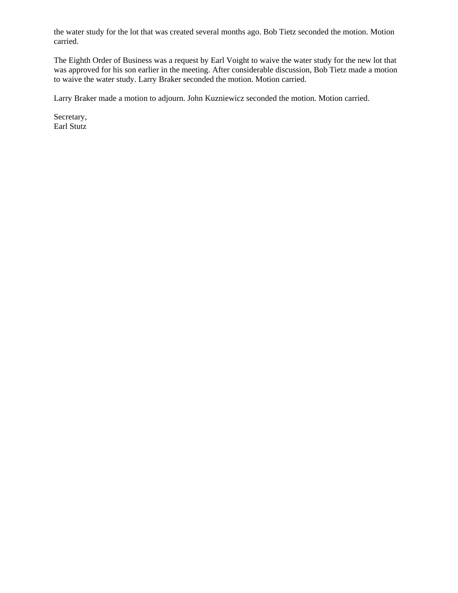the water study for the lot that was created several months ago. Bob Tietz seconded the motion. Motion carried.

The Eighth Order of Business was a request by Earl Voight to waive the water study for the new lot that was approved for his son earlier in the meeting. After considerable discussion, Bob Tietz made a motion to waive the water study. Larry Braker seconded the motion. Motion carried.

Larry Braker made a motion to adjourn. John Kuzniewicz seconded the motion. Motion carried.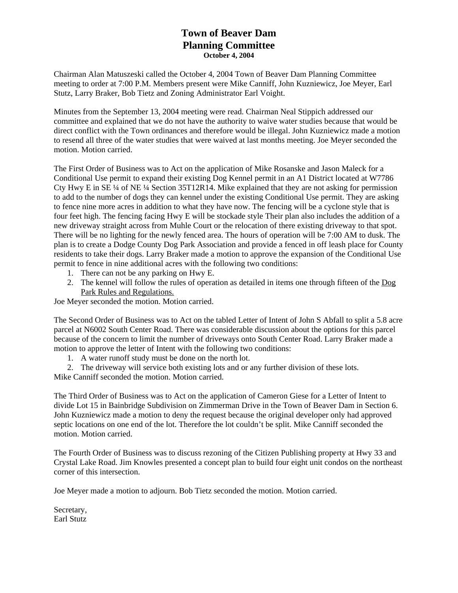# **Town of Beaver Dam Planning Committee October 4, 2004**

Chairman Alan Matuszeski called the October 4, 2004 Town of Beaver Dam Planning Committee meeting to order at 7:00 P.M. Members present were Mike Canniff, John Kuzniewicz, Joe Meyer, Earl Stutz, Larry Braker, Bob Tietz and Zoning Administrator Earl Voight.

Minutes from the September 13, 2004 meeting were read. Chairman Neal Stippich addressed our committee and explained that we do not have the authority to waive water studies because that would be direct conflict with the Town ordinances and therefore would be illegal. John Kuzniewicz made a motion to resend all three of the water studies that were waived at last months meeting. Joe Meyer seconded the motion. Motion carried.

The First Order of Business was to Act on the application of Mike Rosanske and Jason Maleck for a Conditional Use permit to expand their existing Dog Kennel permit in an A1 District located at W7786 Cty Hwy E in SE ¼ of NE ¼ Section 35T12R14. Mike explained that they are not asking for permission to add to the number of dogs they can kennel under the existing Conditional Use permit. They are asking to fence nine more acres in addition to what they have now. The fencing will be a cyclone style that is four feet high. The fencing facing Hwy E will be stockade style Their plan also includes the addition of a new driveway straight across from Muhle Court or the relocation of there existing driveway to that spot. There will be no lighting for the newly fenced area. The hours of operation will be 7:00 AM to dusk. The plan is to create a Dodge County Dog Park Association and provide a fenced in off leash place for County residents to take their dogs. Larry Braker made a motion to approve the expansion of the Conditional Use permit to fence in nine additional acres with the following two conditions:

- 1. There can not be any parking on Hwy E.
- 2. The kennel will follow the rules of operation as detailed in items one through fifteen of the Dog Park Rules and Regulations.

Joe Meyer seconded the motion. Motion carried.

The Second Order of Business was to Act on the tabled Letter of Intent of John S Abfall to split a 5.8 acre parcel at N6002 South Center Road. There was considerable discussion about the options for this parcel because of the concern to limit the number of driveways onto South Center Road. Larry Braker made a motion to approve the letter of Intent with the following two conditions:

- 1. A water runoff study must be done on the north lot.
- 2. The driveway will service both existing lots and or any further division of these lots. Mike Canniff seconded the motion. Motion carried.

The Third Order of Business was to Act on the application of Cameron Giese for a Letter of Intent to divide Lot 15 in Bainbridge Subdivision on Zimmerman Drive in the Town of Beaver Dam in Section 6. John Kuzniewicz made a motion to deny the request because the original developer only had approved septic locations on one end of the lot. Therefore the lot couldn't be split. Mike Canniff seconded the motion. Motion carried.

The Fourth Order of Business was to discuss rezoning of the Citizen Publishing property at Hwy 33 and Crystal Lake Road. Jim Knowles presented a concept plan to build four eight unit condos on the northeast corner of this intersection.

Joe Meyer made a motion to adjourn. Bob Tietz seconded the motion. Motion carried.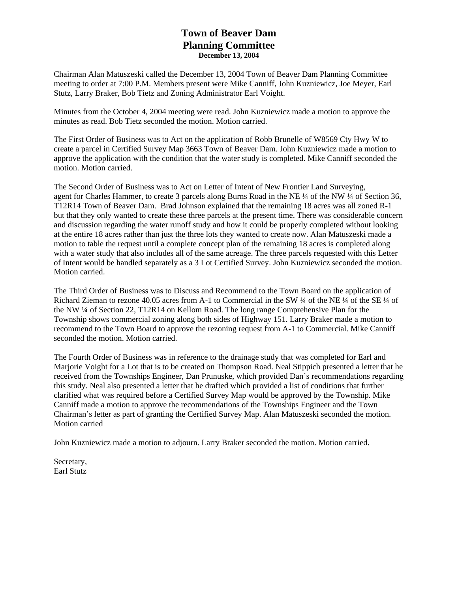#### **Town of Beaver Dam Planning Committee December 13, 2004**

Chairman Alan Matuszeski called the December 13, 2004 Town of Beaver Dam Planning Committee meeting to order at 7:00 P.M. Members present were Mike Canniff, John Kuzniewicz, Joe Meyer, Earl Stutz, Larry Braker, Bob Tietz and Zoning Administrator Earl Voight.

Minutes from the October 4, 2004 meeting were read. John Kuzniewicz made a motion to approve the minutes as read. Bob Tietz seconded the motion. Motion carried.

The First Order of Business was to Act on the application of Robb Brunelle of W8569 Cty Hwy W to create a parcel in Certified Survey Map 3663 Town of Beaver Dam. John Kuzniewicz made a motion to approve the application with the condition that the water study is completed. Mike Canniff seconded the motion. Motion carried.

The Second Order of Business was to Act on Letter of Intent of New Frontier Land Surveying, agent for Charles Hammer, to create 3 parcels along Burns Road in the NE ¼ of the NW ¼ of Section 36, T12R14 Town of Beaver Dam. Brad Johnson explained that the remaining 18 acres was all zoned R-1 but that they only wanted to create these three parcels at the present time. There was considerable concern and discussion regarding the water runoff study and how it could be properly completed without looking at the entire 18 acres rather than just the three lots they wanted to create now. Alan Matuszeski made a motion to table the request until a complete concept plan of the remaining 18 acres is completed along with a water study that also includes all of the same acreage. The three parcels requested with this Letter of Intent would be handled separately as a 3 Lot Certified Survey. John Kuzniewicz seconded the motion. Motion carried.

The Third Order of Business was to Discuss and Recommend to the Town Board on the application of Richard Zieman to rezone 40.05 acres from A-1 to Commercial in the SW ¼ of the NE ¼ of the SE ¼ of the NW ¼ of Section 22, T12R14 on Kellom Road. The long range Comprehensive Plan for the Township shows commercial zoning along both sides of Highway 151. Larry Braker made a motion to recommend to the Town Board to approve the rezoning request from A-1 to Commercial. Mike Canniff seconded the motion. Motion carried.

The Fourth Order of Business was in reference to the drainage study that was completed for Earl and Marjorie Voight for a Lot that is to be created on Thompson Road. Neal Stippich presented a letter that he received from the Townships Engineer, Dan Prunuske, which provided Dan's recommendations regarding this study. Neal also presented a letter that he drafted which provided a list of conditions that further clarified what was required before a Certified Survey Map would be approved by the Township. Mike Canniff made a motion to approve the recommendations of the Townships Engineer and the Town Chairman's letter as part of granting the Certified Survey Map. Alan Matuszeski seconded the motion. Motion carried

John Kuzniewicz made a motion to adjourn. Larry Braker seconded the motion. Motion carried.